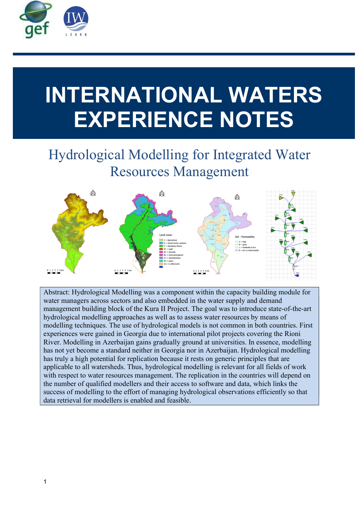

# INTERNATIONAL WATERS EXPERIENCE NOTES

# Hydrological Modelling for Integrated Water Resources Management



Abstract: Hydrological Modelling was a component within the capacity building module for water managers across sectors and also embedded in the water supply and demand management building block of the Kura II Project. The goal was to introduce state-of-the-art hydrological modelling approaches as well as to assess water resources by means of modelling techniques. The use of hydrological models is not common in both countries. First experiences were gained in Georgia due to international pilot projects covering the Rioni River. Modelling in Azerbaijan gains gradually ground at universities. In essence, modelling has not yet become a standard neither in Georgia nor in Azerbaijan. Hydrological modelling has truly a high potential for replication because it rests on generic principles that are applicable to all watersheds. Thus, hydrological modelling is relevant for all fields of work with respect to water resources management. The replication in the countries will depend on the number of qualified modellers and their access to software and data, which links the success of modelling to the effort of managing hydrological observations efficiently so that data retrieval for modellers is enabled and feasible.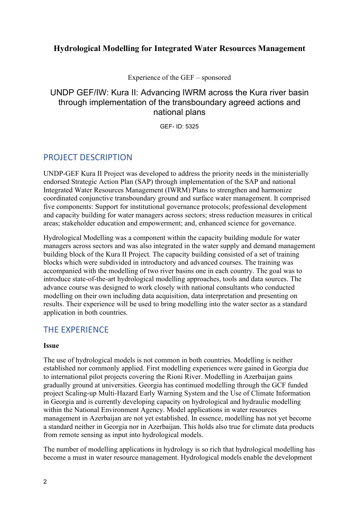#### Hydrological Modelling for Integrated Water Resources Management

Experience of the GEF – sponsored

# UNDP GEF/IW: Kura II: Advancing IWRM across the Kura river basin through implementation of the transboundary agreed actions and national plans

GEF- ID: 5325

# PROJECT DESCRIPTION

UNDP-GEF Kura II Project was developed to address the priority needs in the ministerially endorsed Strategic Action Plan (SAP) through implementation of the SAP and national Integrated Water Resources Management (IWRM) Plans to strengthen and harmonize coordinated conjunctive transboundary ground and surface water management. It comprised five components: Support for institutional governance protocols; professional development and capacity building for water managers across sectors; stress reduction measures in critical areas; stakeholder education and empowerment; and, enhanced science for governance.

Hydrological Modelling was a component within the capacity building module for water managers across sectors and was also integrated in the water supply and demand management building block of the Kura II Project. The capacity building consisted of a set of training blocks which were subdivided in introductory and advanced courses. The training was accompanied with the modelling of two river basins one in each country. The goal was to introduce state-of-the-art hydrological modelling approaches, tools and data sources. The advance course was designed to work closely with national consultants who conducted modelling on their own including data acquisition, data interpretation and presenting on results. Their experience will be used to bring modelling into the water sector as a standard application in both countries.

# THE EXPERIENCE

#### Issue

The use of hydrological models is not common in both countries. Modelling is neither established nor commonly applied. First modelling experiences were gained in Georgia due to international pilot projects covering the Rioni River. Modelling in Azerbaijan gains gradually ground at universities. Georgia has continued modelling through the GCF funded project Scaling-up Multi-Hazard Early Warning System and the Use of Climate Information in Georgia and is currently developing capacity on hydrological and hydraulic modelling within the National Environment Agency. Model applications in water resources management in Azerbaijan are not yet established. In essence, modelling has not yet become a standard neither in Georgia nor in Azerbaijan. This holds also true for climate data products from remote sensing as input into hydrological models.

The number of modelling applications in hydrology is so rich that hydrological modelling has become a must in water resource management. Hydrological models enable the development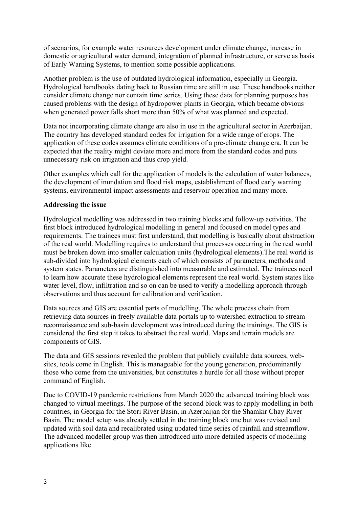of scenarios, for example water resources development under climate change, increase in domestic or agricultural water demand, integration of planned infrastructure, or serve as basis of Early Warning Systems, to mention some possible applications.

Another problem is the use of outdated hydrological information, especially in Georgia. Hydrological handbooks dating back to Russian time are still in use. These handbooks neither consider climate change nor contain time series. Using these data for planning purposes has caused problems with the design of hydropower plants in Georgia, which became obvious when generated power falls short more than 50% of what was planned and expected.

Data not incorporating climate change are also in use in the agricultural sector in Azerbaijan. The country has developed standard codes for irrigation for a wide range of crops. The application of these codes assumes climate conditions of a pre-climate change era. It can be expected that the reality might deviate more and more from the standard codes and puts unnecessary risk on irrigation and thus crop yield.

Other examples which call for the application of models is the calculation of water balances, the development of inundation and flood risk maps, establishment of flood early warning systems, environmental impact assessments and reservoir operation and many more.

#### Addressing the issue

Hydrological modelling was addressed in two training blocks and follow-up activities. The first block introduced hydrological modelling in general and focused on model types and requirements. The trainees must first understand, that modelling is basically about abstraction of the real world. Modelling requires to understand that processes occurring in the real world must be broken down into smaller calculation units (hydrological elements).The real world is sub-divided into hydrological elements each of which consists of parameters, methods and system states. Parameters are distinguished into measurable and estimated. The trainees need to learn how accurate these hydrological elements represent the real world. System states like water level, flow, infiltration and so on can be used to verify a modelling approach through observations and thus account for calibration and verification.

Data sources and GIS are essential parts of modelling. The whole process chain from retrieving data sources in freely available data portals up to watershed extraction to stream reconnaissance and sub-basin development was introduced during the trainings. The GIS is considered the first step it takes to abstract the real world. Maps and terrain models are components of GIS.

The data and GIS sessions revealed the problem that publicly available data sources, websites, tools come in English. This is manageable for the young generation, predominantly those who come from the universities, but constitutes a hurdle for all those without proper command of English.

Due to COVID-19 pandemic restrictions from March 2020 the advanced training block was changed to virtual meetings. The purpose of the second block was to apply modelling in both countries, in Georgia for the Stori River Basin, in Azerbaijan for the Shamkir Chay River Basin. The model setup was already settled in the training block one but was revised and updated with soil data and recalibrated using updated time series of rainfall and streamflow. The advanced modeller group was then introduced into more detailed aspects of modelling applications like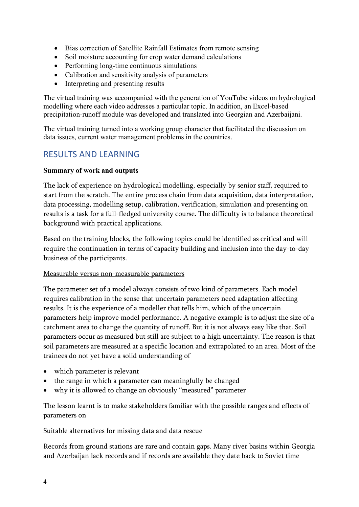- Bias correction of Satellite Rainfall Estimates from remote sensing
- Soil moisture accounting for crop water demand calculations
- Performing long-time continuous simulations
- Calibration and sensitivity analysis of parameters
- Interpreting and presenting results

The virtual training was accompanied with the generation of YouTube videos on hydrological modelling where each video addresses a particular topic. In addition, an Excel-based precipitation-runoff module was developed and translated into Georgian and Azerbaijani.

The virtual training turned into a working group character that facilitated the discussion on data issues, current water management problems in the countries.

# RESULTS AND LEARNING

#### Summary of work and outputs

The lack of experience on hydrological modelling, especially by senior staff, required to start from the scratch. The entire process chain from data acquisition, data interpretation, data processing, modelling setup, calibration, verification, simulation and presenting on results is a task for a full-fledged university course. The difficulty is to balance theoretical background with practical applications.

Based on the training blocks, the following topics could be identified as critical and will require the continuation in terms of capacity building and inclusion into the day-to-day business of the participants.

#### Measurable versus non-measurable parameters

The parameter set of a model always consists of two kind of parameters. Each model requires calibration in the sense that uncertain parameters need adaptation affecting results. It is the experience of a modeller that tells him, which of the uncertain parameters help improve model performance. A negative example is to adjust the size of a catchment area to change the quantity of runoff. But it is not always easy like that. Soil parameters occur as measured but still are subject to a high uncertainty. The reason is that soil parameters are measured at a specific location and extrapolated to an area. Most of the trainees do not yet have a solid understanding of

- which parameter is relevant
- the range in which a parameter can meaningfully be changed
- why it is allowed to change an obviously "measured" parameter

The lesson learnt is to make stakeholders familiar with the possible ranges and effects of parameters on

#### Suitable alternatives for missing data and data rescue

Records from ground stations are rare and contain gaps. Many river basins within Georgia and Azerbaijan lack records and if records are available they date back to Soviet time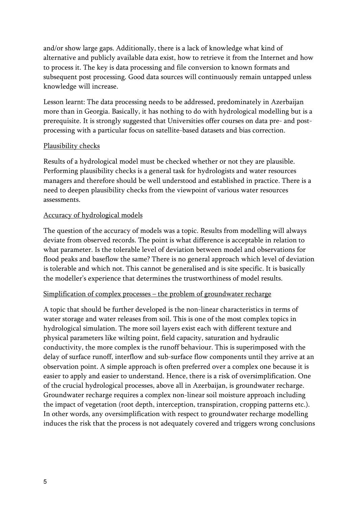and/or show large gaps. Additionally, there is a lack of knowledge what kind of alternative and publicly available data exist, how to retrieve it from the Internet and how to process it. The key is data processing and file conversion to known formats and subsequent post processing. Good data sources will continuously remain untapped unless knowledge will increase.

Lesson learnt: The data processing needs to be addressed, predominately in Azerbaijan more than in Georgia. Basically, it has nothing to do with hydrological modelling but is a prerequisite. It is strongly suggested that Universities offer courses on data pre- and postprocessing with a particular focus on satellite-based datasets and bias correction.

#### Plausibility checks

Results of a hydrological model must be checked whether or not they are plausible. Performing plausibility checks is a general task for hydrologists and water resources managers and therefore should be well understood and established in practice. There is a need to deepen plausibility checks from the viewpoint of various water resources assessments.

#### Accuracy of hydrological models

The question of the accuracy of models was a topic. Results from modelling will always deviate from observed records. The point is what difference is acceptable in relation to what parameter. Is the tolerable level of deviation between model and observations for flood peaks and baseflow the same? There is no general approach which level of deviation is tolerable and which not. This cannot be generalised and is site specific. It is basically the modeller's experience that determines the trustworthiness of model results.

#### Simplification of complex processes – the problem of groundwater recharge

A topic that should be further developed is the non-linear characteristics in terms of water storage and water releases from soil. This is one of the most complex topics in hydrological simulation. The more soil layers exist each with different texture and physical parameters like wilting point, field capacity, saturation and hydraulic conductivity, the more complex is the runoff behaviour. This is superimposed with the delay of surface runoff, interflow and sub-surface flow components until they arrive at an observation point. A simple approach is often preferred over a complex one because it is easier to apply and easier to understand. Hence, there is a risk of oversimplification. One of the crucial hydrological processes, above all in Azerbaijan, is groundwater recharge. Groundwater recharge requires a complex non-linear soil moisture approach including the impact of vegetation (root depth, interception, transpiration, cropping patterns etc.). In other words, any oversimplification with respect to groundwater recharge modelling induces the risk that the process is not adequately covered and triggers wrong conclusions